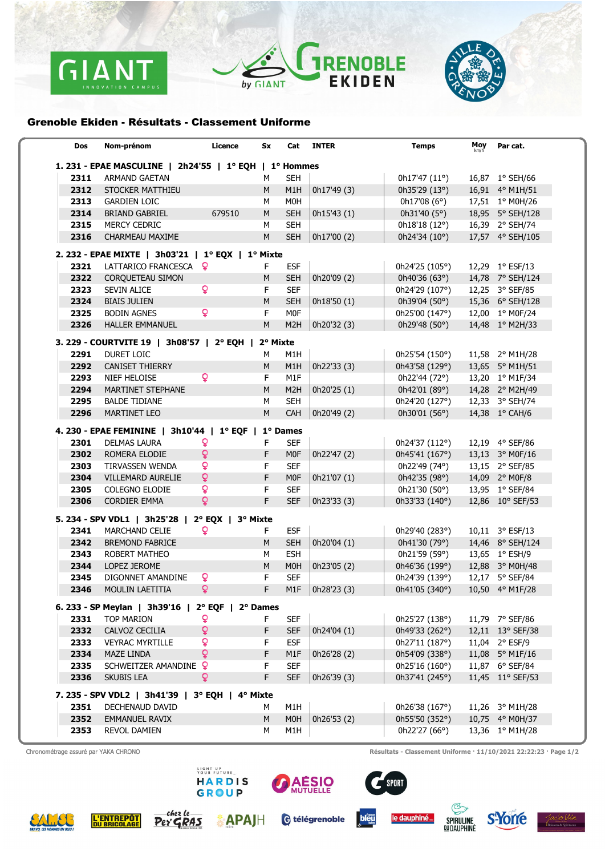





## Grenoble Ekiden - Résultats - Classement Uniforme

| Dos                                                    | Nom-prénom                                           | Licence        | Sx       | Cat              | <b>INTER</b> | <b>Temps</b>          | Moy<br>km/h | Par cat.                 |  |  |  |
|--------------------------------------------------------|------------------------------------------------------|----------------|----------|------------------|--------------|-----------------------|-------------|--------------------------|--|--|--|
| 1. 231 - EPAE MASCULINE   2h24'55   1º EQH   1º Hommes |                                                      |                |          |                  |              |                       |             |                          |  |  |  |
| 2311                                                   | <b>ARMAND GAETAN</b>                                 |                | M        | <b>SEH</b>       |              | 0h17'47 (11°)         |             | 16,87 1° SEH/66          |  |  |  |
| 2312                                                   | STOCKER MATTHIEU                                     |                | М        | M1H              | 0h17'49 (3)  | 0h35'29 $(13°)$       |             | 16,91 4° M1H/51          |  |  |  |
| 2313                                                   | <b>GARDIEN LOIC</b>                                  |                | М        | M <sub>0</sub> H |              | 0h17'08(6°)           |             | 17,51 1° M0H/26          |  |  |  |
| 2314                                                   | <b>BRIAND GABRIEL</b>                                | 679510         | M        | <b>SEH</b>       | 0h15'43 (1)  | 0h31'40 $(5^{\circ})$ |             | 18,95 5° SEH/128         |  |  |  |
| 2315                                                   | <b>MERCY CEDRIC</b>                                  |                | M        | <b>SEH</b>       |              | 0h18'18 (12°)         |             | 16,39 2° SEH/74          |  |  |  |
| 2316                                                   | CHARMEAU MAXIME                                      |                | M        | <b>SEH</b>       | 0h17'00 (2)  | 0h24'34 (10°)         |             | 17,57 4° SEH/105         |  |  |  |
|                                                        | 2. 232 - EPAE MIXTE   3h03'21   1º EQX   1º Mixte    |                |          |                  |              |                       |             |                          |  |  |  |
| 2321                                                   | LATTARICO FRANCESCA Q                                |                | F.       | <b>ESF</b>       |              | 0h24'25 (105°)        |             | 12,29 1° ESF/13          |  |  |  |
| 2322                                                   | <b>CORQUETEAU SIMON</b>                              |                | M        | <b>SEH</b>       | 0h20'09 (2)  | 0h40'36 (63°)         |             | 14,78 7° SEH/124         |  |  |  |
| 2323                                                   | <b>SEVIN ALICE</b>                                   | ò              | F        | <b>SEF</b>       |              | 0h24'29 (107°)        |             | 12,25 3° SEF/85          |  |  |  |
| 2324                                                   | <b>BIAIS JULIEN</b>                                  |                | M        | <b>SEH</b>       | 0h18'50 (1)  | 0h39'04 (50°)         |             | 15,36 6° SEH/128         |  |  |  |
| 2325                                                   | <b>BODIN AGNES</b>                                   | ò              | F        | M <sub>0</sub> F |              | 0h25'00 (147°)        |             | 12,00 1° M0F/24          |  |  |  |
| 2326                                                   | <b>HALLER EMMANUEL</b>                               |                | M        | M <sub>2</sub> H | 0h20'32 (3)  | 0h29'48 (50°)         |             | 14,48 1° M2H/33          |  |  |  |
|                                                        | 3. 229 - COURTVITE 19   3h08'57   2° EQH             |                | 2° Mixte |                  |              |                       |             |                          |  |  |  |
| 2291                                                   | <b>DURET LOIC</b>                                    |                | м        | M1H              |              | 0h25'54 (150°)        |             | 11,58 2° M1H/28          |  |  |  |
| 2292                                                   | <b>CANISET THIERRY</b>                               |                | М        | M <sub>1</sub> H | 0h22'33 (3)  | 0h43'58 (129°)        |             | 13,65 5° M1H/51          |  |  |  |
| 2293                                                   | NIEF HELOISE                                         | <b>Q</b>       | F        | M1F              |              | 0h22'44 (72°)         |             | 13,20 1° M1F/34          |  |  |  |
| 2294                                                   | MARTINET STEPHANE                                    |                | M        | M <sub>2</sub> H | 0h20'25 (1)  | 0h42'01 (89°)         |             | 14,28 2° M2H/49          |  |  |  |
| 2295                                                   | <b>BALDE TIDIANE</b>                                 |                | M        | <b>SEH</b>       |              | 0h24'20 (127°)        |             | 12,33 3° SEH/74          |  |  |  |
| 2296                                                   | <b>MARTINET LEO</b>                                  |                | M        | CAH              | 0h20'49 (2)  | 0h30'01 (56°)         |             | 14,38 1° CAH/6           |  |  |  |
|                                                        |                                                      |                |          |                  |              |                       |             |                          |  |  |  |
|                                                        | 4. 230 - EPAE FEMININE   3h10'44   1º EQF   1º Dames |                |          |                  |              |                       |             |                          |  |  |  |
| 2301                                                   | <b>DELMAS LAURA</b>                                  | ò              | F        | <b>SEF</b>       |              | 0h24'37 (112°)        |             | 12,19 4° SEF/86          |  |  |  |
| 2302                                                   | ROMERA ELODIE                                        | ò              | F        | M <sub>0F</sub>  | 0h22'47 (2)  | 0h45'41 (167°)        |             | 13,13 3° MOF/16          |  |  |  |
| 2303                                                   | TIRVASSEN WENDA                                      | ò              | F        | <b>SEF</b>       |              | 0h22'49 (74°)         |             | 13,15 2° SEF/85          |  |  |  |
| 2304                                                   | <b>VILLEMARD AURELIE</b>                             | $\mathsf{Q}$   | F        | M <sub>0F</sub>  | 0h21'07 (1)  | 0h42'35 (98°)         |             | 14,09 2° M0F/8           |  |  |  |
| 2305                                                   | <b>COLEGNO ELODIE</b>                                | ò              | F        | <b>SEF</b>       |              | 0h21'30 (50°)         |             | 13,95 1° SEF/84          |  |  |  |
| 2306                                                   | <b>CORDIER EMMA</b>                                  | $\overline{Q}$ | F        | <b>SEF</b>       | 0h23'33 (3)  | 0h33'33 (140°)        |             | 12,86 10° SEF/53         |  |  |  |
|                                                        | 5. 234 - SPV VDL1   3h25'28   2° EQX   3° Mixte      |                |          |                  |              |                       |             |                          |  |  |  |
| 2341                                                   | <b>MARCHAND CELIE</b>                                | Q              | F.       | <b>ESF</b>       |              | 0h29'40 (283°)        |             | 10,11 3° ESF/13          |  |  |  |
| 2342                                                   | <b>BREMOND FABRICE</b>                               |                | М        | <b>SEH</b>       | 0h20'04 (1)  | 0h41'30 (79°)         |             | 14,46 8° SEH/124         |  |  |  |
| 2343                                                   | <b>ROBERT MATHEO</b>                                 |                | М        | <b>ESH</b>       |              | 0h21'59 (59°)         |             | 13,65 1° ESH/9           |  |  |  |
| 2344                                                   | LOPEZ JEROME                                         |                | M        | M0H              | 0h23'05 (2)  | 0h46'36 (199°)        |             | 12,88 3° M0H/48          |  |  |  |
| 2345                                                   | DIGONNET AMANDINE                                    | <u>o</u>       | F.       | <b>SEF</b>       |              | 0h24'39 (139°)        |             | 12,17 5° SEF/84          |  |  |  |
| 2346                                                   | <b>MOULIN LAETITIA</b>                               | ò              | F        | M1F              | 0h28'23 (3)  | 0h41'05 (340°)        |             | 10,50 4° M1F/28          |  |  |  |
|                                                        | 6. 233 - SP Meylan   3h39'16   2° EQF   2° Dames     |                |          |                  |              |                       |             |                          |  |  |  |
| 2331                                                   | <b>TOP MARION</b>                                    | Q              | F        | <b>SEF</b>       |              | 0h25'27 (138°)        |             | 11,79 7° SEF/86          |  |  |  |
| 2332                                                   | CALVOZ CECILIA                                       | $\mathsf{Q}$   | F        | <b>SEF</b>       | 0h24'04 (1)  | 0h49'33 (262°)        |             | 12,11 13° SEF/38         |  |  |  |
| 2333                                                   | <b>VEYRAC MYRTILLE</b>                               | ò              | F.       | <b>ESF</b>       |              | 0h27'11 (187°)        |             | 11,04 2° ESF/9           |  |  |  |
| 2334                                                   | <b>MAZE LINDA</b>                                    | $\mathbf{Q}$   | F        | M <sub>1</sub> F | 0h26'28 (2)  | 0h54'09 (338°)        |             | 11,08 5° M1F/16          |  |  |  |
| 2335                                                   | SCHWEITZER AMANDINE ?                                |                | F        | SEF              |              | 0h25'16 (160°)        |             | 11,87 6° SEF/84          |  |  |  |
| 2336                                                   | <b>SKUBIS LEA</b>                                    | ò              | F        | <b>SEF</b>       | 0h26'39 (3)  | 0h37'41 (245°)        |             | 11,45 11° SEF/53         |  |  |  |
|                                                        | 7. 235 - SPV VDL2   3h41'39   3° EQH   4° Mixte      |                |          |                  |              |                       |             |                          |  |  |  |
| 2351                                                   | DECHENAUD DAVID                                      |                | м        | M1H              |              | 0h26'38 (167°)        |             | 11,26 $3^{\circ}$ M1H/28 |  |  |  |
| 2352                                                   | <b>EMMANUEL RAVIX</b>                                |                | M        | M <sub>0</sub> H | 0h26'53 (2)  | 0h55'50 (352°)        |             | 10,75 4° M0H/37          |  |  |  |
| 2353                                                   | <b>REVOL DAMIEN</b>                                  |                | М        | M1H              |              | 0h22'27 (66°)         |             | 13,36 1° M1H/28          |  |  |  |
|                                                        |                                                      |                |          |                  |              |                       |             |                          |  |  |  |

Chronométrage assuré par YAKA CHRONO Résultats - Classement Uniforme · 11/10/2021 22:22:23 · Page 1/2

**L'ENTREPÔT**<br>DU BRICOLAGE



LIGHT UP<br>YOUR FUTURE\_<br>HARDIS

**GROUP** 

Per GRAS

**APAJH** 



C télégrenoble



SPORT